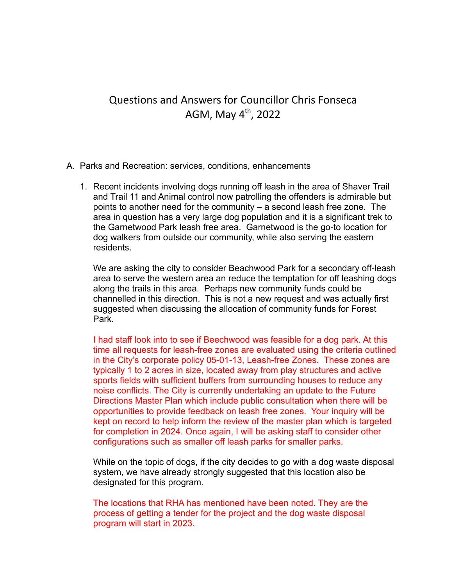## Questions and Answers for Councillor Chris Fonseca AGM, May 4<sup>th</sup>, 2022

- A. Parks and Recreation: services, conditions, enhancements
	- 1. Recent incidents involving dogs running off leash in the area of Shaver Trail and Trail 11 and Animal control now patrolling the offenders is admirable but points to another need for the community – a second leash free zone. The area in question has a very large dog population and it is a significant trek to the Garnetwood Park leash free area. Garnetwood is the go-to location for dog walkers from outside our community, while also serving the eastern residents.

We are asking the city to consider Beachwood Park for a secondary off-leash area to serve the western area an reduce the temptation for off leashing dogs along the trails in this area. Perhaps new community funds could be channelled in this direction. This is not a new request and was actually first suggested when discussing the allocation of community funds for Forest Park.

I had staff look into to see if Beechwood was feasible for a dog park. At this time all requests for leash-free zones are evaluated using the criteria outlined in the City's corporate policy 05-01-13, Leash-free Zones. These zones are typically 1 to 2 acres in size, located away from play structures and active sports fields with sufficient buffers from surrounding houses to reduce any noise conflicts. The City is currently undertaking an update to the Future Directions Master Plan which include public consultation when there will be opportunities to provide feedback on leash free zones. Your inquiry will be kept on record to help inform the review of the master plan which is targeted for completion in 2024. Once again, I will be asking staff to consider other configurations such as smaller off leash parks for smaller parks.

While on the topic of dogs, if the city decides to go with a dog waste disposal system, we have already strongly suggested that this location also be designated for this program.

The locations that RHA has mentioned have been noted. They are the process of getting a tender for the project and the dog waste disposal program will start in 2023.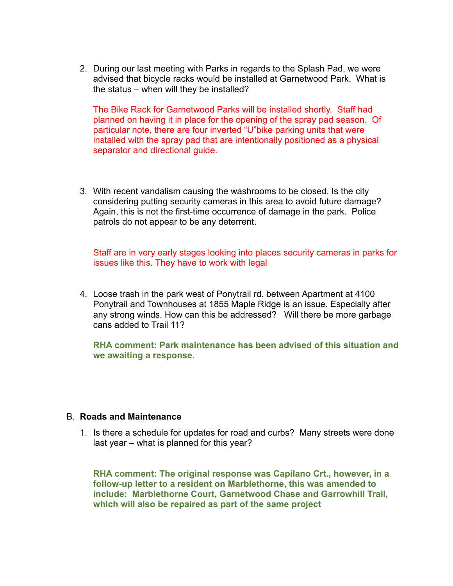2. During our last meeting with Parks in regards to the Splash Pad, we were advised that bicycle racks would be installed at Garnetwood Park. What is the status – when will they be installed?

The Bike Rack for Garnetwood Parks will be installed shortly. Staff had planned on having it in place for the opening of the spray pad season. Of particular note, there are four inverted "U"bike parking units that were installed with the spray pad that are intentionally positioned as a physical separator and directional guide.

3. With recent vandalism causing the washrooms to be closed. Is the city considering putting security cameras in this area to avoid future damage? Again, this is not the first-time occurrence of damage in the park. Police patrols do not appear to be any deterrent.

Staff are in very early stages looking into places security cameras in parks for issues like this. They have to work with legal

4. Loose trash in the park west of Ponytrail rd. between Apartment at 4100 Ponytrail and Townhouses at 1855 Maple Ridge is an issue. Especially after any strong winds. How can this be addressed? Will there be more garbage cans added to Trail 11?

**RHA comment: Park maintenance has been advised of this situation and we awaiting a response.**

## B. **Roads and Maintenance**

1. Is there a schedule for updates for road and curbs? Many streets were done last year – what is planned for this year?

**RHA comment: The original response was Capilano Crt., however, in a follow-up letter to a resident on Marblethorne, this was amended to include: Marblethorne Court, Garnetwood Chase and Garrowhill Trail, which will also be repaired as part of the same project**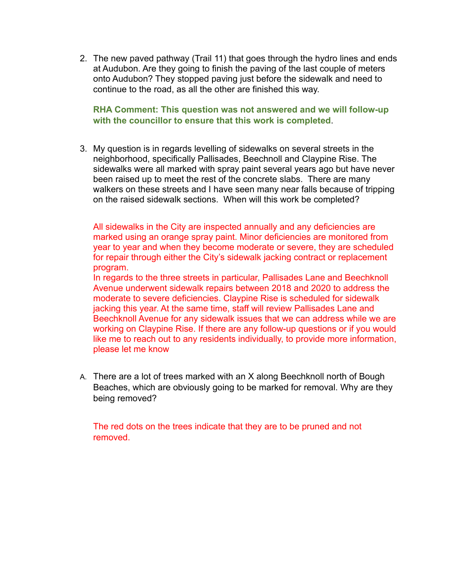2. The new paved pathway (Trail 11) that goes through the hydro lines and ends at Audubon. Are they going to finish the paving of the last couple of meters onto Audubon? They stopped paving just before the sidewalk and need to continue to the road, as all the other are finished this way.

**RHA Comment: This question was not answered and we will follow-up with the councillor to ensure that this work is completed**.

3. My question is in regards levelling of sidewalks on several streets in the neighborhood, specifically Pallisades, Beechnoll and Claypine Rise. The sidewalks were all marked with spray paint several years ago but have never been raised up to meet the rest of the concrete slabs. There are many walkers on these streets and I have seen many near falls because of tripping on the raised sidewalk sections. When will this work be completed?

All sidewalks in the City are inspected annually and any deficiencies are marked using an orange spray paint. Minor deficiencies are monitored from year to year and when they become moderate or severe, they are scheduled for repair through either the City's sidewalk jacking contract or replacement program.

In regards to the three streets in particular, Pallisades Lane and Beechknoll Avenue underwent sidewalk repairs between 2018 and 2020 to address the moderate to severe deficiencies. Claypine Rise is scheduled for sidewalk jacking this year. At the same time, staff will review Pallisades Lane and Beechknoll Avenue for any sidewalk issues that we can address while we are working on Claypine Rise. If there are any follow-up questions or if you would like me to reach out to any residents individually, to provide more information, please let me know

A. There are a lot of trees marked with an X along Beechknoll north of Bough Beaches, which are obviously going to be marked for removal. Why are they being removed?

The red dots on the trees indicate that they are to be pruned and not removed.